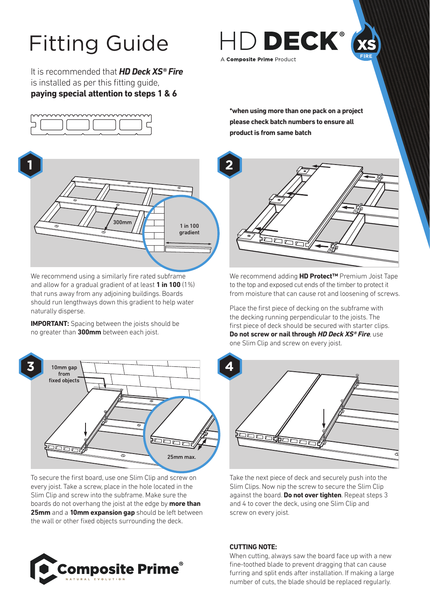# Fitting Guide

It is recommended that *HD Deck XS® Fire* is installed as per this fitting guide, **paying special attention to steps 1 & 6**





We recommend using a similarly fire rated subframe and allow for a gradual gradient of at least **1 in 100** (1%) that runs away from any adjoining buildings. Boards should run lengthways down this gradient to help water naturally disperse.

**IMPORTANT:** Spacing between the joists should be no greater than **300mm** between each joist.



To secure the first board, use one Slim Clip and screw on every joist. Take a screw, place in the hole located in the Slim Clip and screw into the subframe. Make sure the boards do not overhang the joist at the edge by **more than 25mm** and a **10mm expansion gap** should be left between the wall or other fixed objects surrounding the deck.





**\*when using more than one pack on a project please check batch numbers to ensure all product is from same batch**



We recommend adding **HD Protect™** Premium Joist Tape to the top and exposed cut ends of the timber to protect it from moisture that can cause rot and loosening of screws.

Place the first piece of decking on the subframe with the decking running perpendicular to the joists. The first piece of deck should be secured with starter clips. **Do not screw or nail through HD Deck XS® Fire**, use one Slim Clip and screw on every joist.



Take the next piece of deck and securely push into the Slim Clips. Now nip the screw to secure the Slim Clip against the board. **Do not over tighten**. Repeat steps 3 and 4 to cover the deck, using one Slim Clip and screw on every joist.

## **CUTTING NOTE:**

When cutting, always saw the board face up with a new fine-toothed blade to prevent dragging that can cause furring and split ends after installation. If making a large number of cuts, the blade should be replaced regularly.